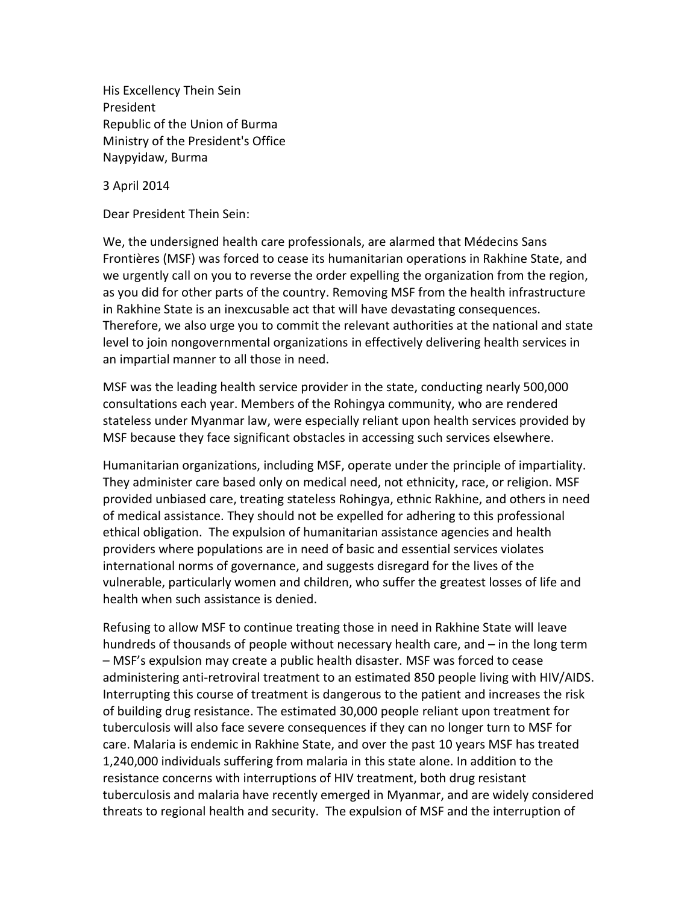His Excellency Thein Sein President Republic of the Union of Burma Ministry of the President's Office Naypyidaw, Burma

3 April 2014

Dear President Thein Sein:

We, the undersigned health care professionals, are alarmed that Médecins Sans Frontières (MSF) was forced to cease its humanitarian operations in Rakhine State, and we urgently call on you to reverse the order expelling the organization from the region, as you did for other parts of the country. Removing MSF from the health infrastructure in Rakhine State is an inexcusable act that will have devastating consequences. Therefore, we also urge you to commit the relevant authorities at the national and state level to join nongovernmental organizations in effectively delivering health services in an impartial manner to all those in need.

MSF was the leading health service provider in the state, conducting nearly 500,000 consultations each year. Members of the Rohingya community, who are rendered stateless under Myanmar law, were especially reliant upon health services provided by MSF because they face significant obstacles in accessing such services elsewhere.

Humanitarian organizations, including MSF, operate under the principle of impartiality. They administer care based only on medical need, not ethnicity, race, or religion. MSF provided unbiased care, treating stateless Rohingya, ethnic Rakhine, and others in need of medical assistance. They should not be expelled for adhering to this professional ethical obligation. The expulsion of humanitarian assistance agencies and health providers where populations are in need of basic and essential services violates international norms of governance, and suggests disregard for the lives of the vulnerable, particularly women and children, who suffer the greatest losses of life and health when such assistance is denied.

Refusing to allow MSF to continue treating those in need in Rakhine State will leave hundreds of thousands of people without necessary health care, and – in the long term – MSF's expulsion may create a public health disaster. MSF was forced to cease administering anti-retroviral treatment to an estimated 850 people living with HIV/AIDS. Interrupting this course of treatment is dangerous to the patient and increases the risk of building drug resistance. The estimated 30,000 people reliant upon treatment for tuberculosis will also face severe consequences if they can no longer turn to MSF for care. Malaria is endemic in Rakhine State, and over the past 10 years MSF has treated 1,240,000 individuals suffering from malaria in this state alone. In addition to the resistance concerns with interruptions of HIV treatment, both drug resistant tuberculosis and malaria have recently emerged in Myanmar, and are widely considered threats to regional health and security. The expulsion of MSF and the interruption of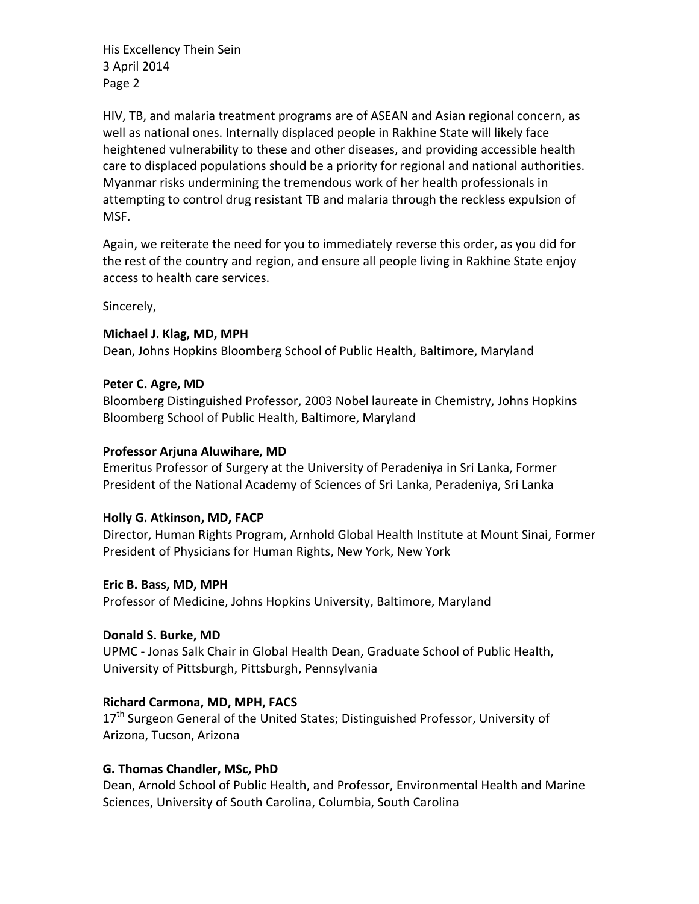His Excellency Thein Sein 3 April 2014 Page 2

HIV, TB, and malaria treatment programs are of ASEAN and Asian regional concern, as well as national ones. Internally displaced people in Rakhine State will likely face heightened vulnerability to these and other diseases, and providing accessible health care to displaced populations should be a priority for regional and national authorities. Myanmar risks undermining the tremendous work of her health professionals in attempting to control drug resistant TB and malaria through the reckless expulsion of MSF.

Again, we reiterate the need for you to immediately reverse this order, as you did for the rest of the country and region, and ensure all people living in Rakhine State enjoy access to health care services.

Sincerely,

# **Michael J. Klag, MD, MPH**

Dean, Johns Hopkins Bloomberg School of Public Health, Baltimore, Maryland

### **Peter C. Agre, MD**

Bloomberg Distinguished Professor, 2003 Nobel laureate in Chemistry, Johns Hopkins Bloomberg School of Public Health, Baltimore, Maryland

### **Professor Arjuna Aluwihare, MD**

Emeritus Professor of Surgery at the University of Peradeniya in Sri Lanka, Former President of the National Academy of Sciences of Sri Lanka, Peradeniya, Sri Lanka

# **Holly G. Atkinson, MD, FACP**

Director, Human Rights Program, Arnhold Global Health Institute at Mount Sinai, Former President of Physicians for Human Rights, New York, New York

#### **Eric B. Bass, MD, MPH**

Professor of Medicine, Johns Hopkins University, Baltimore, Maryland

# **Donald S. Burke, MD**

UPMC - Jonas Salk Chair in Global Health Dean, Graduate School of Public Health, University of Pittsburgh, Pittsburgh, Pennsylvania

# **Richard Carmona, MD, MPH, FACS**

17<sup>th</sup> Surgeon General of the United States; Distinguished Professor, University of Arizona, Tucson, Arizona

# **G. Thomas Chandler, MSc, PhD**

Dean, Arnold School of Public Health, and Professor, Environmental Health and Marine Sciences, University of South Carolina, Columbia, South Carolina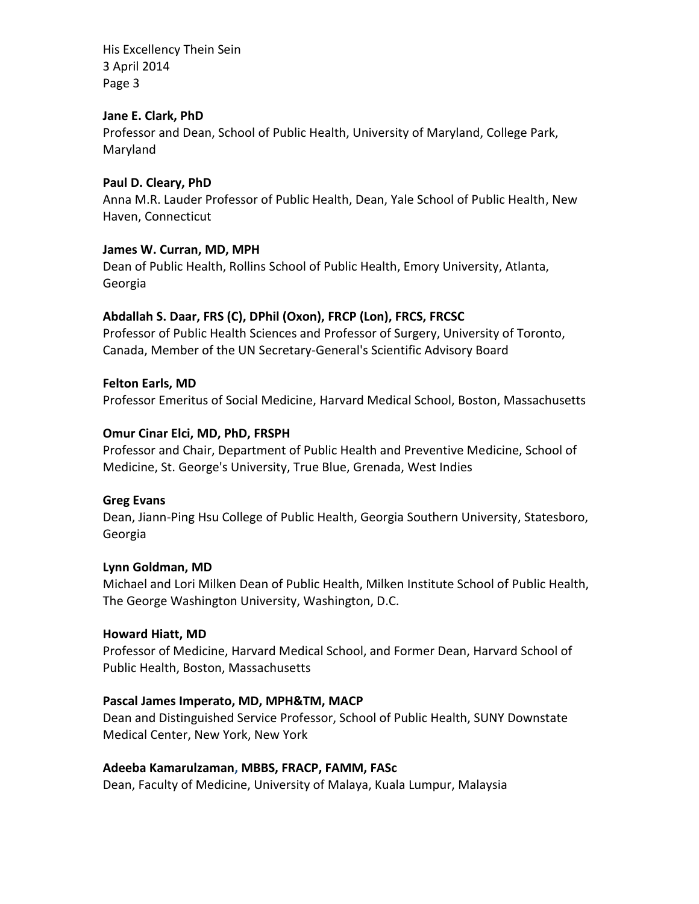His Excellency Thein Sein 3 April 2014 Page 3

### **Jane E. Clark, PhD**

Professor and Dean, School of Public Health, University of Maryland, College Park, Maryland

### **Paul D. Cleary, PhD**

Anna M.R. Lauder Professor of Public Health, Dean, Yale School of Public Health, New Haven, Connecticut

### **James W. Curran, MD, MPH**

Dean of Public Health, Rollins School of Public Health, Emory University, Atlanta, Georgia

# **Abdallah S. Daar, FRS (C), DPhil (Oxon), FRCP (Lon), FRCS, FRCSC**

Professor of Public Health Sciences and Professor of Surgery, University of Toronto, Canada, Member of the UN Secretary-General's Scientific Advisory Board

### **Felton Earls, MD**

Professor Emeritus of Social Medicine, Harvard Medical School, Boston, Massachusetts

### **Omur Cinar Elci, MD, PhD, FRSPH**

Professor and Chair, Department of Public Health and Preventive Medicine, School of Medicine, St. George's University, True Blue, Grenada, West Indies

#### **Greg Evans**

Dean, Jiann-Ping Hsu College of Public Health, Georgia Southern University, Statesboro, Georgia

#### **Lynn Goldman, MD**

Michael and Lori Milken Dean of Public Health, Milken Institute School of Public Health, The George Washington University, Washington, D.C.

#### **Howard Hiatt, MD**

Professor of Medicine, Harvard Medical School, and Former Dean, Harvard School of Public Health, Boston, Massachusetts

# **Pascal James Imperato, MD, MPH&TM, MACP**

Dean and Distinguished Service Professor, School of Public Health, SUNY Downstate Medical Center, New York, New York

# **Adeeba Kamarulzaman, MBBS, FRACP, FAMM, FASc**

Dean, Faculty of Medicine, University of Malaya, Kuala Lumpur, Malaysia